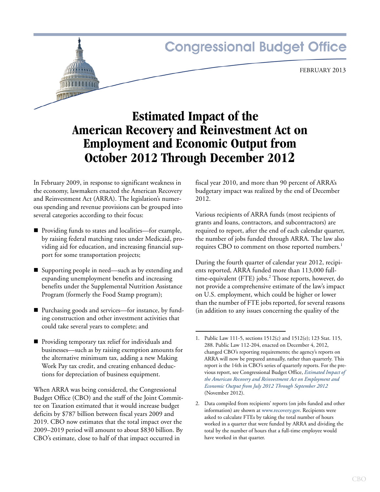# **Congressional Budget Office**

FEBRUARY 2013

# **Estimated Impact of the American Recovery and Reinvestment Act on Employment and Economic Output from October 2012 Through December 2012**

In February 2009, in response to significant weakness in the economy, lawmakers enacted the American Recovery and Reinvestment Act (ARRA). The legislation's numerous spending and revenue provisions can be grouped into several categories according to their focus:

- Providing funds to states and localities—for example, by raising federal matching rates under Medicaid, providing aid for education, and increasing financial support for some transportation projects;
- Supporting people in need—such as by extending and expanding unemployment benefits and increasing benefits under the Supplemental Nutrition Assistance Program (formerly the Food Stamp program);
- Purchasing goods and services—for instance, by funding construction and other investment activities that could take several years to complete; and
- **Providing temporary tax relief for individuals and** businesses—such as by raising exemption amounts for the alternative minimum tax, adding a new Making Work Pay tax credit, and creating enhanced deductions for depreciation of business equipment.

When ARRA was being considered, the Congressional Budget Office (CBO) and the staff of the Joint Committee on Taxation estimated that it would increase budget deficits by \$787 billion between fiscal years 2009 and 2019. CBO now estimates that the total impact over the 2009–2019 period will amount to about \$830 billion. By CBO's estimate, close to half of that impact occurred in

fiscal year 2010, and more than 90 percent of ARRA's budgetary impact was realized by the end of December 2012.

Various recipients of ARRA funds (most recipients of grants and loans, contractors, and subcontractors) are required to report, after the end of each calendar quarter, the number of jobs funded through ARRA. The law also requires CBO to comment on those reported numbers.<sup>1</sup>

During the fourth quarter of calendar year 2012, recipients reported, ARRA funded more than 113,000 fulltime-equivalent (FTE) jobs.<sup>2</sup> Those reports, however, do not provide a comprehensive estimate of the law's impact on U.S. employment, which could be higher or lower than the number of FTE jobs reported, for several reasons (in addition to any issues concerning the quality of the

<sup>1.</sup> Public Law 111-5, sections 1512(c) and 1512(e); 123 Stat. 115, 288. Public Law 112-204, enacted on December 4, 2012, changed CBO's reporting requirements; the agency's reports on ARRA will now be prepared annually, rather than quarterly. This report is the 14th in CBO's series of quarterly reports. For the previous report, see Congressional Budget Office, *[Estimated Impact of](http://www.cbo.gov/publication/43729)  [the American Recovery and Reinvestment Act on Employment and](http://www.cbo.gov/publication/43729)  [Economic Output from July 2012 Through September 2012](http://www.cbo.gov/publication/43729)* (November 2012).

<sup>2.</sup> Data compiled from recipients' reports (on jobs funded and other information) are shown at www.recovery.gov. Recipients were asked to calculate FTEs by taking the total number of hours worked in a quarter that were funded by ARRA and dividing the total by the number of hours that a full-time employee would have worked in that quarter.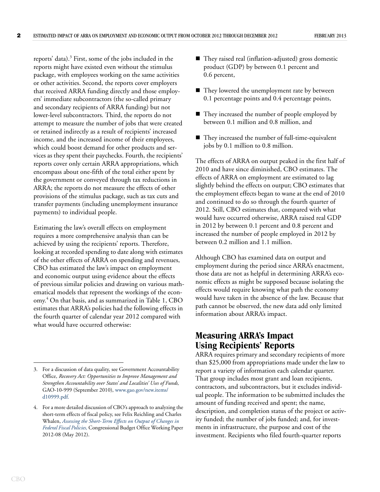reports' data).<sup>3</sup> First, some of the jobs included in the reports might have existed even without the stimulus package, with employees working on the same activities or other activities. Second, the reports cover employers that received ARRA funding directly and those employers' immediate subcontractors (the so-called primary and secondary recipients of ARRA funding) but not lower-level subcontractors. Third, the reports do not attempt to measure the number of jobs that were created or retained indirectly as a result of recipients' increased income, and the increased income of their employees, which could boost demand for other products and services as they spent their paychecks. Fourth, the recipients' reports cover only certain ARRA appropriations, which encompass about one-fifth of the total either spent by the government or conveyed through tax reductions in ARRA; the reports do not measure the effects of other provisions of the stimulus package, such as tax cuts and transfer payments (including unemployment insurance payments) to individual people.

Estimating the law's overall effects on employment requires a more comprehensive analysis than can be achieved by using the recipients' reports. Therefore, looking at recorded spending to date along with estimates of the other effects of ARRA on spending and revenues, CBO has estimated the law's impact on employment and economic output using evidence about the effects of previous similar policies and drawing on various mathematical models that represent the workings of the economy.<sup>4</sup> On that basis, and as summarized in [Table 1](#page-2-0), CBO estimates that ARRA's policies had the following effects in the fourth quarter of calendar year 2012 compared with what would have occurred otherwise:

- They raised real (inflation-adjusted) gross domestic product (GDP) by between 0.1 percent and 0.6 percent,
- They lowered the unemployment rate by between 0.1 percentage points and 0.4 percentage points,
- They increased the number of people employed by between 0.1 million and 0.8 million, and
- They increased the number of full-time-equivalent jobs by 0.1 million to 0.8 million.

The effects of ARRA on output peaked in the first half of 2010 and have since diminished, CBO estimates. The effects of ARRA on employment are estimated to lag slightly behind the effects on output; CBO estimates that the employment effects began to wane at the end of 2010 and continued to do so through the fourth quarter of 2012. Still, CBO estimates that, compared with what would have occurred otherwise, ARRA raised real GDP in 2012 by between 0.1 percent and 0.8 percent and increased the number of people employed in 2012 by between 0.2 million and 1.1 million.

Although CBO has examined data on output and employment during the period since ARRA's enactment, those data are not as helpful in determining ARRA's economic effects as might be supposed because isolating the effects would require knowing what path the economy would have taken in the absence of the law. Because that path cannot be observed, the new data add only limited information about ARRA's impact.

## **Measuring ARRA's Impact Using Recipients' Reports**

ARRA requires primary and secondary recipients of more than \$25,000 from appropriations made under the law to report a variety of information each calendar quarter. That group includes most grant and loan recipients, contractors, and subcontractors, but it excludes individual people. The information to be submitted includes the amount of funding received and spent; the name, description, and completion status of the project or activity funded; the number of jobs funded; and, for investments in infrastructure, the purpose and cost of the investment. Recipients who filed fourth-quarter reports

<sup>3.</sup> For a discussion of data quality, see Government Accountability Office, *Recovery Act: Opportunities to Improve Management and Strengthen Accountability over States' and Localities' Uses of Funds,* GAO-10-999 (September 2010), [www.gao.gov/new.items/](http://www.gao.gov/new.items/d10999.pdf) [d10999.pdf](http://www.gao.gov/new.items/d10999.pdf).

<sup>4.</sup> For a more detailed discussion of CBO's approach to analyzing the short-term effects of fiscal policy, see Felix Reichling and Charles Whalen, *[Assessing the Short-Term Effects on Output of Changes in](http://www.cbo.gov/publication/43278)  [Federal Fiscal Policies,](http://www.cbo.gov/publication/43278)* Congressional Budget Office Working Paper 2012-08 (May 2012).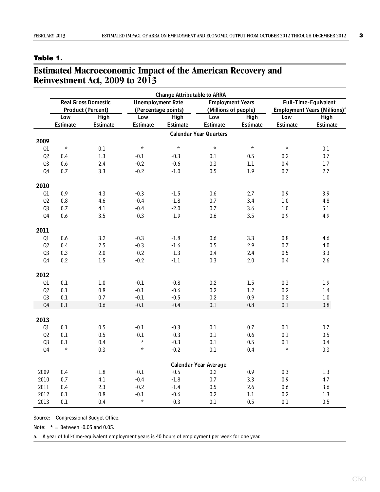#### <span id="page-2-0"></span>**Table 1.**

### **Estimated Macroeconomic Impact of the American Recovery and Reinvestment Act, 2009 to 2013**

|                | <b>Change Attributable to ARRA</b>                     |             |                                                 |                 |                                                 |             |                                                                         |          |  |  |
|----------------|--------------------------------------------------------|-------------|-------------------------------------------------|-----------------|-------------------------------------------------|-------------|-------------------------------------------------------------------------|----------|--|--|
|                | <b>Real Gross Domestic</b><br><b>Product (Percent)</b> |             | <b>Unemployment Rate</b><br>(Percentage points) |                 | <b>Employment Years</b><br>(Millions of people) |             | Full-Time-Equivalent<br><b>Employment Years (Millions)</b> <sup>a</sup> |          |  |  |
|                |                                                        |             |                                                 |                 |                                                 |             |                                                                         |          |  |  |
|                | Low                                                    | <b>High</b> | Low                                             | <b>High</b>     | Low                                             | <b>High</b> | Low                                                                     | High     |  |  |
|                | Estimate                                               | Estimate    | Estimate                                        | <b>Estimate</b> | <b>Estimate</b>                                 | Estimate    | <b>Estimate</b>                                                         | Estimate |  |  |
|                |                                                        |             |                                                 |                 | <b>Calendar Year Quarters</b>                   |             |                                                                         |          |  |  |
| 2009           |                                                        |             |                                                 |                 |                                                 |             |                                                                         |          |  |  |
| Ql             | $\star$                                                | 0.1         | $\star$                                         | $\star$         | $\star$                                         | $\star$     | $\star$                                                                 | 0.1      |  |  |
| Q2             | 0.4                                                    | 1.3         | $-0.1$                                          | $-0.3$          | 0.1                                             | 0.5         | 0.2                                                                     | $0.7\,$  |  |  |
| Q3             | 0.6                                                    | 2.4         | $-0.2$                                          | $-0.6$          | 0.3                                             | $1.1\,$     | 0.4                                                                     | $1.7\,$  |  |  |
| Q4             | 0.7                                                    | 3.3         | $-0.2$                                          | $-1.0$          | 0.5                                             | 1.9         | 0.7                                                                     | 2.7      |  |  |
| 2010           |                                                        |             |                                                 |                 |                                                 |             |                                                                         |          |  |  |
| Ql             | 0.9                                                    | 4.3         | $-0.3$                                          | $-1.5$          | 0.6                                             | 2.7         | 0.9                                                                     | 3.9      |  |  |
| Q2             | 0.8                                                    | 4.6         | $-0.4$                                          | $-1.8$          | 0.7                                             | 3.4         | $1.0\,$                                                                 | 4.8      |  |  |
| Q3             | 0.7                                                    | 4.1         | $-0.4$                                          | $-2.0$          | 0.7                                             | 3.6         | $1.0\,$                                                                 | 5.1      |  |  |
| Q4             | 0.6                                                    | 3.5         | $-0.3$                                          | $-1.9$          | 0.6                                             | 3.5         | 0.9                                                                     | 4.9      |  |  |
| 2011           |                                                        |             |                                                 |                 |                                                 |             |                                                                         |          |  |  |
| Q1             | 0.6                                                    | 3.2         | $-0.3$                                          | $-1.8$          | 0.6                                             | 3.3         | $0.8\,$                                                                 | 4.6      |  |  |
| Q2             | 0.4                                                    | 2.5         | $-0.3$                                          | $-1.6$          | $0.5\,$                                         | 2.9         | 0.7                                                                     | $4.0\,$  |  |  |
| Q3             | 0.3                                                    | $2.0\,$     | $-0.2$                                          | $-1.3$          | 0.4                                             | 2.4         | 0.5                                                                     | 3.3      |  |  |
| Q4             | 0.2                                                    | $1.5\,$     | $-0.2$                                          | $-1.1$          | 0.3                                             | 2.0         | 0.4                                                                     | 2.6      |  |  |
| 2012           |                                                        |             |                                                 |                 |                                                 |             |                                                                         |          |  |  |
| Q1             | 0.1                                                    | $1.0\,$     | $-0.1$                                          | $-0.8$          | 0.2                                             | 1.5         | 0.3                                                                     | 1.9      |  |  |
| Q2             | 0.1                                                    | $0.8\,$     | $-0.1$                                          | $-0.6$          | 0.2                                             | 1.2         | 0.2                                                                     | $1.4\,$  |  |  |
| Q3             | $0.1\,$                                                | 0.7         | $-0.1$                                          | $-0.5$          | 0.2                                             | 0.9         | 0.2                                                                     | $1.0\,$  |  |  |
| Q <sub>4</sub> | $0.1\,$                                                | $0.6\,$     | $\text{-}0.1$                                   | $-0.4$          | 0.1                                             | 0.8         | 0.1                                                                     | 0.8      |  |  |
| 2013           |                                                        |             |                                                 |                 |                                                 |             |                                                                         |          |  |  |
| Q1             | 0.1                                                    | 0.5         | $-0.1$                                          | $-0.3$          | 0.1                                             | 0.7         | 0.1                                                                     | 0.7      |  |  |
| Q2             | 0.1                                                    | 0.5         | $-0.1$                                          | $-0.3$          | 0.1                                             | 0.6         | 0.1                                                                     | 0.5      |  |  |
| Q3             | 0.1                                                    | 0.4         | $\star$                                         | $-0.3$          | 0.1                                             | 0.5         | 0.1                                                                     | 0.4      |  |  |
| Q4             | $\star$                                                | 0.3         | $\star$                                         | $-0.2$          | 0.1                                             | 0.4         | $\star$                                                                 | 0.3      |  |  |
|                |                                                        |             |                                                 |                 | <b>Calendar Year Average</b>                    |             |                                                                         |          |  |  |
| 2009           | 0.4                                                    | 1.8         | $-0.1$                                          | $-0.5$          | 0.2                                             | 0.9         | 0.3                                                                     | 1.3      |  |  |
| 2010           | 0.7                                                    | 4.1         | $-0.4$                                          | $-1.8$          | 0.7                                             | 3.3         | 0.9                                                                     | 4.7      |  |  |
| 2011           | 0.4                                                    | 2.3         | $-0.2$                                          | $-1.4$          | 0.5                                             | 2.6         | 0.6                                                                     | 3.6      |  |  |
| 2012           | 0.1                                                    | 0.8         | $-0.1$                                          | $-0.6$          | 0.2                                             | $1.1\,$     | 0.2                                                                     | $1.3\,$  |  |  |
| 2013           | 0.1                                                    | 0.4         | $\star$                                         | $-0.3$          | 0.1                                             | 0.5         | 0.1                                                                     | 0.5      |  |  |

Source: Congressional Budget Office.

Note:  $* =$  Between -0.05 and 0.05.

a. A year of full-time-equivalent employment years is 40 hours of employment per week for one year.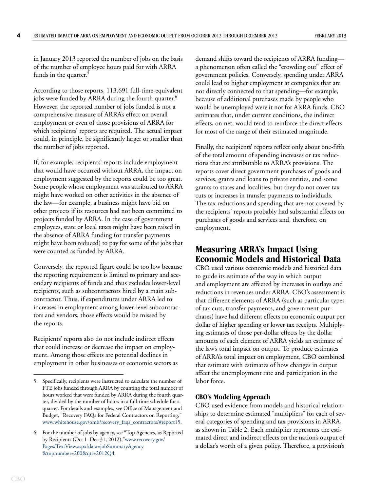in January 2013 reported the number of jobs on the basis of the number of employee hours paid for with ARRA funds in the quarter.<sup>5</sup>

According to those reports, 113,691 full-time-equivalent jobs were funded by ARRA during the fourth quarter.<sup>6</sup> However, the reported number of jobs funded is not a comprehensive measure of ARRA's effect on overall employment or even of those provisions of ARRA for which recipients' reports are required. The actual impact could, in principle, be significantly larger or smaller than the number of jobs reported.

If, for example, recipients' reports include employment that would have occurred without ARRA, the impact on employment suggested by the reports could be too great. Some people whose employment was attributed to ARRA might have worked on other activities in the absence of the law—for example, a business might have bid on other projects if its resources had not been committed to projects funded by ARRA. In the case of government employees, state or local taxes might have been raised in the absence of ARRA funding (or transfer payments might have been reduced) to pay for some of the jobs that were counted as funded by ARRA.

Conversely, the reported figure could be too low because the reporting requirement is limited to primary and secondary recipients of funds and thus excludes lower-level recipients, such as subcontractors hired by a main subcontractor. Thus, if expenditures under ARRA led to increases in employment among lower-level subcontractors and vendors, those effects would be missed by the reports.

Recipients' reports also do not include indirect effects that could increase or decrease the impact on employment. Among those effects are potential declines in employment in other businesses or economic sectors as demand shifts toward the recipients of ARRA funding a phenomenon often called the "crowding out" effect of government policies. Conversely, spending under ARRA could lead to higher employment at companies that are not directly connected to that spending—for example, because of additional purchases made by people who would be unemployed were it not for ARRA funds. CBO estimates that, under current conditions, the indirect effects, on net, would tend to reinforce the direct effects for most of the range of their estimated magnitude.

Finally, the recipients' reports reflect only about one-fifth of the total amount of spending increases or tax reductions that are attributable to ARRA's provisions. The reports cover direct government purchases of goods and services, grants and loans to private entities, and some grants to states and localities, but they do not cover tax cuts or increases in transfer payments to individuals. The tax reductions and spending that are not covered by the recipients' reports probably had substantial effects on purchases of goods and services and, therefore, on employment.

### **Measuring ARRA's Impact Using Economic Models and Historical Data**

CBO used various economic models and historical data to guide its estimate of the way in which output and employment are affected by increases in outlays and reductions in revenues under ARRA. CBO's assessment is that different elements of ARRA (such as particular types of tax cuts, transfer payments, and government purchases) have had different effects on economic output per dollar of higher spending or lower tax receipts. Multiplying estimates of those per-dollar effects by the dollar amounts of each element of ARRA yields an estimate of the law's total impact on output. To produce estimates of ARRA's total impact on employment, CBO combined that estimate with estimates of how changes in output affect the unemployment rate and participation in the labor force.

#### **CBO's Modeling Approach**

CBO used evidence from models and historical relationships to determine estimated "multipliers" for each of several categories of spending and tax provisions in ARRA, as shown in [Table 2.](#page-5-0) Each multiplier represents the estimated direct and indirect effects on the nation's output of a dollar's worth of a given policy. Therefore, a provision's

<sup>5.</sup> Specifically, recipients were instructed to calculate the number of FTE jobs funded through ARRA by counting the total number of hours worked that were funded by ARRA during the fourth quarter, divided by the number of hours in a full-time schedule for a quarter. For details and examples, see Office of Management and Budget, "Recovery FAQs for Federal Contractors on Reporting," [www.whitehouse.gov/omb/recovery\\_faqs\\_contractors/#report15.](http://www.whitehouse.gov/omb/recovery_faqs_contractors/#report15)

<sup>6.</sup> For the number of jobs by agency, see "Top Agencies, as Reported by Recipients (Oct 1–Dec 31, 2012),["www.recovery.gov/](http://www.recovery.gov/Pages/TextView.aspx?data=jobSummaryAgency&topnumber=200&qtr=2012Q4) [Pages/TextView.aspx?data=jobSummaryAgency](http://www.recovery.gov/Pages/TextView.aspx?data=jobSummaryAgency&topnumber=200&qtr=2012Q4) [&topnumber=200&qtr=2012Q4](http://www.recovery.gov/Pages/TextView.aspx?data=jobSummaryAgency&topnumber=200&qtr=2012Q4).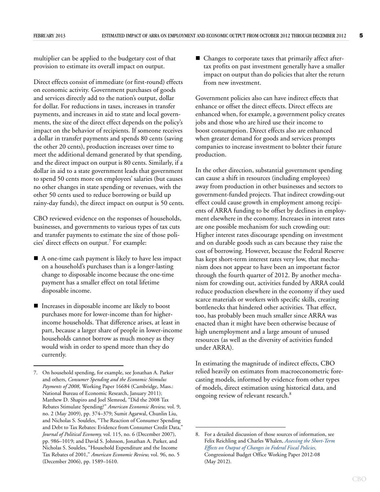multiplier can be applied to the budgetary cost of that provision to estimate its overall impact on output.

Direct effects consist of immediate (or first-round) effects on economic activity. Government purchases of goods and services directly add to the nation's output, dollar for dollar. For reductions in taxes, increases in transfer payments, and increases in aid to state and local governments, the size of the direct effect depends on the policy's impact on the behavior of recipients. If someone receives a dollar in transfer payments and spends 80 cents (saving the other 20 cents), production increases over time to meet the additional demand generated by that spending, and the direct impact on output is 80 cents. Similarly, if a dollar in aid to a state government leads that government to spend 50 cents more on employees' salaries (but causes no other changes in state spending or revenues, with the other 50 cents used to reduce borrowing or build up rainy-day funds), the direct impact on output is 50 cents.

CBO reviewed evidence on the responses of households, businesses, and governments to various types of tax cuts and transfer payments to estimate the size of those policies' direct effects on output.<sup>7</sup> For example:

- A one-time cash payment is likely to have less impact on a household's purchases than is a longer-lasting change to disposable income because the one-time payment has a smaller effect on total lifetime disposable income.
- Increases in disposable income are likely to boost purchases more for lower-income than for higherincome households. That difference arises, at least in part, because a larger share of people in lower-income households cannot borrow as much money as they would wish in order to spend more than they do currently.

■ Changes to corporate taxes that primarily affect aftertax profits on past investment generally have a smaller impact on output than do policies that alter the return from new investment.

Government policies also can have indirect effects that enhance or offset the direct effects. Direct effects are enhanced when, for example, a government policy creates jobs and those who are hired use their income to boost consumption. Direct effects also are enhanced when greater demand for goods and services prompts companies to increase investment to bolster their future production.

In the other direction, substantial government spending can cause a shift in resources (including employees) away from production in other businesses and sectors to government-funded projects. That indirect crowding-out effect could cause growth in employment among recipients of ARRA funding to be offset by declines in employment elsewhere in the economy. Increases in interest rates are one possible mechanism for such crowding out: Higher interest rates discourage spending on investment and on durable goods such as cars because they raise the cost of borrowing. However, because the Federal Reserve has kept short-term interest rates very low, that mechanism does not appear to have been an important factor through the fourth quarter of 2012. By another mechanism for crowding out, activities funded by ARRA could reduce production elsewhere in the economy if they used scarce materials or workers with specific skills, creating bottlenecks that hindered other activities. That effect, too, has probably been much smaller since ARRA was enacted than it might have been otherwise because of high unemployment and a large amount of unused resources (as well as the diversity of activities funded under ARRA).

In estimating the magnitude of indirect effects, CBO relied heavily on estimates from macroeconometric forecasting models, informed by evidence from other types of models, direct estimation using historical data, and ongoing review of relevant research.<sup>8</sup>

<sup>7.</sup> On household spending, for example, see Jonathan A. Parker and others, *Consumer Spending and the Economic Stimulus Payments of 2008,* Working Paper 16684 (Cambridge, Mass.: National Bureau of Economic Research, January 2011); Matthew D. Shapiro and Joel Slemrod, "Did the 2008 Tax Rebates Stimulate Spending?" *American Economic Review,* vol. 9, no. 2 (May 2009), pp. 374–379; Sumit Agarwal, Chunlin Liu, and Nicholas S. Souleles, "The Reaction of Consumer Spending and Debt to Tax Rebates: Evidence from Consumer Credit Data," *Journal of Political Economy,* vol. 115, no. 6 (December 2007), pp. 986–1019; and David S. Johnson, Jonathan A. Parker, and Nicholas S. Souleles, "Household Expenditure and the Income Tax Rebates of 2001," *American Economic Review,* vol. 96, no. 5 (December 2006), pp. 1589–1610.

<sup>8.</sup> For a detailed discussion of those sources of information, see Felix Reichling and Charles Whalen, *[Assessing the Short-Term](http://www.cbo.gov/publication/43278)  [Effects on Output of Changes in Federal Fiscal Policies,](http://www.cbo.gov/publication/43278)*  Congressional Budget Office Working Paper 2012-08 (May 2012).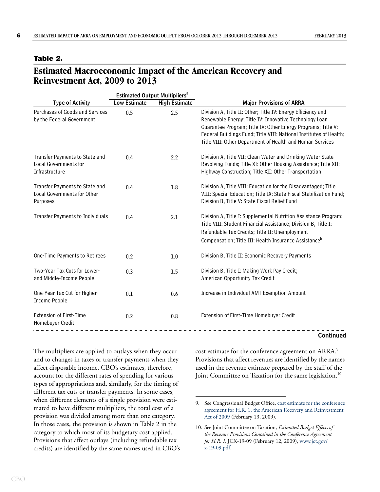#### <span id="page-5-0"></span>**Table 2.**

### **Estimated Macroeconomic Impact of the American Recovery and Reinvestment Act, 2009 to 2013**

|                                                                           |                     | <b>Estimated Output Multipliers<sup>a</sup></b> |                                                                                                                                                                                                                                                                                                                           |  |  |
|---------------------------------------------------------------------------|---------------------|-------------------------------------------------|---------------------------------------------------------------------------------------------------------------------------------------------------------------------------------------------------------------------------------------------------------------------------------------------------------------------------|--|--|
| <b>Type of Activity</b>                                                   | <b>Low Estimate</b> | <b>High Estimate</b>                            | <b>Major Provisions of ARRA</b>                                                                                                                                                                                                                                                                                           |  |  |
| Purchases of Goods and Services<br>by the Federal Government              | 0.5                 | 2.5                                             | Division A, Title II: Other; Title IV: Energy Efficiency and<br>Renewable Energy; Title IV: Innovative Technology Loan<br>Guarantee Program; Title IV: Other Energy Programs; Title V:<br>Federal Buildings Fund; Title VIII: National Institutes of Health;<br>Title VIII: Other Department of Health and Human Services |  |  |
| Transfer Payments to State and<br>Local Governments for<br>Infrastructure | 0.4                 | 2.2                                             | Division A, Title VII: Clean Water and Drinking Water State<br>Revolving Funds; Title XI: Other Housing Assistance; Title XII:<br>Highway Construction; Title XII: Other Transportation                                                                                                                                   |  |  |
| Transfer Payments to State and<br>Local Governments for Other<br>Purposes | 0.4                 | 1.8                                             | Division A, Title VIII: Education for the Disadvantaged; Title<br>VIII: Special Education; Title IX: State Fiscal Stabilization Fund;<br>Division B, Title V: State Fiscal Relief Fund                                                                                                                                    |  |  |
| <b>Transfer Payments to Individuals</b>                                   | 0.4                 | 2.1                                             | Division A, Title I: Supplemental Nutrition Assistance Program;<br>Title VIII: Student Financial Assistance; Division B, Title I:<br>Refundable Tax Credits; Title II: Unemployment<br>Compensation; Title III: Health Insurance Assistance <sup>b</sup>                                                                  |  |  |
| One-Time Payments to Retirees                                             | 0.2                 | 1.0                                             | Division B, Title II: Economic Recovery Payments                                                                                                                                                                                                                                                                          |  |  |
| Two-Year Tax Cuts for Lower-<br>and Middle-Income People                  | 0.3                 | 1.5                                             | Division B, Title I: Making Work Pay Credit;<br>American Opportunity Tax Credit                                                                                                                                                                                                                                           |  |  |
| One-Year Tax Cut for Higher-<br><b>Income People</b>                      | 0.1                 | 0.6                                             | Increase in Individual AMT Exemption Amount                                                                                                                                                                                                                                                                               |  |  |
| <b>Extension of First-Time</b><br>Homebuyer Credit                        | 0.2                 | 0.8                                             | Extension of First-Time Homebuyer Credit                                                                                                                                                                                                                                                                                  |  |  |
|                                                                           |                     |                                                 | Continued                                                                                                                                                                                                                                                                                                                 |  |  |

The multipliers are applied to outlays when they occur and to changes in taxes or transfer payments when they affect disposable income. CBO's estimates, therefore, account for the different rates of spending for various types of appropriations and, similarly, for the timing of different tax cuts or transfer payments. In some cases, when different elements of a single provision were estimated to have different multipliers, the total cost of a provision was divided among more than one category. In those cases, the provision is shown in [Table 2](#page-5-0) in the category to which most of its budgetary cost applied. Provisions that affect outlays (including refundable tax credits) are identified by the same names used in CBO's cost estimate for the conference agreement on ARRA.<sup>9</sup> Provisions that affect revenues are identified by the names used in the revenue estimate prepared by the staff of the Joint Committee on Taxation for the same legislation.<sup>10</sup>

<sup>9.</sup> See Congressional Budget Office, [cost estimate for the conference](http://www.cbo.gov/publication/41762)  [agreement for H.R. 1, the American Recovery and Reinvestment](http://www.cbo.gov/publication/41762)  [Act of 2009](http://www.cbo.gov/publication/41762) (February 13, 2009).

<sup>10.</sup> See Joint Committee on Taxation, *Estimated Budget Effects of the Revenue Provisions Contained in the Conference Agreement for H.R. 1,* JCX-19-09 (February 12, 2009), [www.jct.gov/](http://www.jct.gov/x-19-09.pdf) [x-19-09.pdf.](http://www.jct.gov/x-19-09.pdf)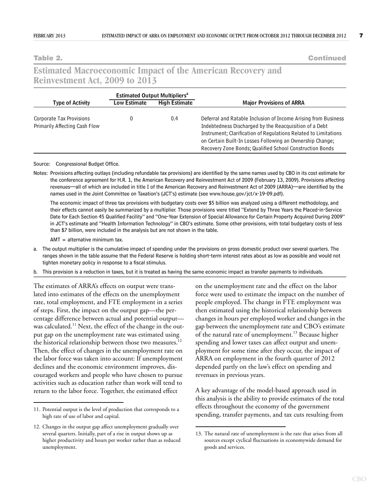**Table 2. Continued**

### **Estimated Macroeconomic Impact of the American Recovery and Reinvestment Act, 2009 to 2013**

|                                                           |                                             | <b>Estimated Output Multipliers<sup>a</sup></b> |                                                                                                                                                                                                                                                                                                                      |  |  |
|-----------------------------------------------------------|---------------------------------------------|-------------------------------------------------|----------------------------------------------------------------------------------------------------------------------------------------------------------------------------------------------------------------------------------------------------------------------------------------------------------------------|--|--|
| <b>Type of Activity</b>                                   | <b>High Estimate</b><br><b>Low Estimate</b> |                                                 | <b>Major Provisions of ARRA</b>                                                                                                                                                                                                                                                                                      |  |  |
| Corporate Tax Provisions<br>Primarily Affecting Cash Flow |                                             | 0.4                                             | Deferral and Ratable Inclusion of Income Arising from Business<br>Indebtedness Discharged by the Reacquisition of a Debt<br>Instrument; Clarification of Regulations Related to Limitations<br>on Certain Built-In Losses Following an Ownership Change;<br>Recovery Zone Bonds; Qualified School Construction Bonds |  |  |

#### Source: Congressional Budget Office.

Notes: Provisions affecting outlays (including refundable tax provisions) are identified by the same names used by CBO in its cost estimate for the conference agreement for H.R. 1, the American Recovery and Reinvestment Act of 2009 (February 13, 2009). Provisions affecting revenues—all of which are included in title I of the American Recovery and Reinvestment Act of 2009 (ARRA)—are identified by the names used in the Joint Committee on Taxation's (JCT's) estimate (see www.house.gov/jct/x-19-09.pdf).

The economic impact of three tax provisions with budgetary costs over \$5 billion was analyzed using a different methodology, and their effects cannot easily be summarized by a multiplier. Those provisions were titled "Extend by Three Years the Placed-in-Service Date for Each Section 45 Qualified Facility" and "One-Year Extension of Special Allowance for Certain Property Acquired During 2009" in JCT's estimate and "Health Information Technology" in CBO's estimate. Some other provisions, with total budgetary costs of less than \$7 billion, were included in the analysis but are not shown in the table.

 $AMT =$  alternative minimum tax.

- a. The output multiplier is the cumulative impact of spending under the provisions on gross domestic product over several quarters. The ranges shown in the table assume that the Federal Reserve is holding short-term interest rates about as low as possible and would not tighten monetary policy in response to a fiscal stimulus.
- b. This provision is a reduction in taxes, but it is treated as having the same economic impact as transfer payments to individuals.

The estimates of ARRA's effects on output were translated into estimates of the effects on the unemployment rate, total employment, and FTE employment in a series of steps. First, the impact on the output gap—the percentage difference between actual and potential output was calculated.<sup>11</sup> Next, the effect of the change in the output gap on the unemployment rate was estimated using the historical relationship between those two measures.<sup>12</sup> Then, the effect of changes in the unemployment rate on the labor force was taken into account: If unemployment declines and the economic environment improves, discouraged workers and people who have chosen to pursue activities such as education rather than work will tend to return to the labor force. Together, the estimated effect

on the unemployment rate and the effect on the labor force were used to estimate the impact on the number of people employed. The change in FTE employment was then estimated using the historical relationship between changes in hours per employed worker and changes in the gap between the unemployment rate and CBO's estimate of the natural rate of unemployment.<sup>13</sup> Because higher spending and lower taxes can affect output and unemployment for some time after they occur, the impact of ARRA on employment in the fourth quarter of 2012 depended partly on the law's effect on spending and revenues in previous years.

A key advantage of the model-based approach used in this analysis is the ability to provide estimates of the total effects throughout the economy of the government spending, transfer payments, and tax cuts resulting from

<sup>11.</sup> Potential output is the level of production that corresponds to a high rate of use of labor and capital.

<sup>12.</sup> Changes in the output gap affect unemployment gradually over several quarters. Initially, part of a rise in output shows up as higher productivity and hours per worker rather than as reduced unemployment.

<sup>13.</sup> The natural rate of unemployment is the rate that arises from all sources except cyclical fluctuations in economywide demand for goods and services.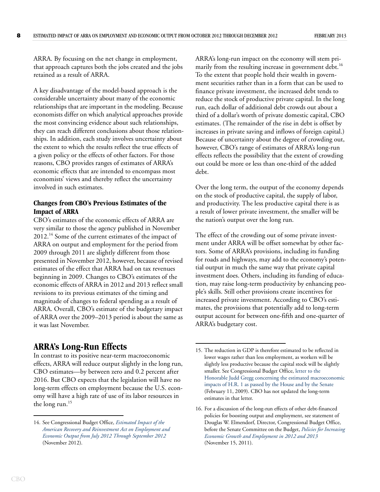ARRA. By focusing on the net change in employment, that approach captures both the jobs created and the jobs retained as a result of ARRA.

A key disadvantage of the model-based approach is the considerable uncertainty about many of the economic relationships that are important in the modeling. Because economists differ on which analytical approaches provide the most convincing evidence about such relationships, they can reach different conclusions about those relationships. In addition, each study involves uncertainty about the extent to which the results reflect the true effects of a given policy or the effects of other factors. For those reasons, CBO provides ranges of estimates of ARRA's economic effects that are intended to encompass most economists' views and thereby reflect the uncertainty involved in such estimates.

### **Changes from CBO's Previous Estimates of the Impact of ARRA**

CBO's estimates of the economic effects of ARRA are very similar to those the agency published in November 2012.14 Some of the current estimates of the impact of ARRA on output and employment for the period from 2009 through 2011 are slightly different from those presented in November 2012, however, because of revised estimates of the effect that ARRA had on tax revenues beginning in 2009. Changes to CBO's estimates of the economic effects of ARRA in 2012 and 2013 reflect small revisions to its previous estimates of the timing and magnitude of changes to federal spending as a result of ARRA. Overall, CBO's estimate of the budgetary impact of ARRA over the 2009–2013 period is about the same as it was last November.

### **ARRA's Long-Run Effects**

In contrast to its positive near-term macroeconomic effects, ARRA will reduce output slightly in the long run, CBO estimates—by between zero and 0.2 percent after 2016. But CBO expects that the legislation will have no long-term effects on employment because the U.S. economy will have a high rate of use of its labor resources in the long run.<sup>15</sup>

ARRA's long-run impact on the economy will stem primarily from the resulting increase in government debt.<sup>16</sup> To the extent that people hold their wealth in government securities rather than in a form that can be used to finance private investment, the increased debt tends to reduce the stock of productive private capital. In the long run, each dollar of additional debt crowds out about a third of a dollar's worth of private domestic capital, CBO estimates. (The remainder of the rise in debt is offset by increases in private saving and inflows of foreign capital.) Because of uncertainty about the degree of crowding out, however, CBO's range of estimates of ARRA's long-run effects reflects the possibility that the extent of crowding out could be more or less than one-third of the added debt.

Over the long term, the output of the economy depends on the stock of productive capital, the supply of labor, and productivity. The less productive capital there is as a result of lower private investment, the smaller will be the nation's output over the long run.

The effect of the crowding out of some private investment under ARRA will be offset somewhat by other factors. Some of ARRA's provisions, including its funding for roads and highways, may add to the economy's potential output in much the same way that private capital investment does. Others, including its funding of education, may raise long-term productivity by enhancing people's skills. Still other provisions create incentives for increased private investment. According to CBO's estimates, the provisions that potentially add to long-term output account for between one-fifth and one-quarter of ARRA's budgetary cost.

<sup>14.</sup> See Congressional Budget Office, *[Estimated Impact of the](http://www.cbo.gov/publication/43729)  [American Recovery and Reinvestment Act on Employment and](http://www.cbo.gov/publication/43729)  [Economic Output from July 2012 Through September 2012](http://www.cbo.gov/publication/43729)* (November 2012).

<sup>15.</sup> The reduction in GDP is therefore estimated to be reflected in lower wages rather than less employment, as workers will be slightly less productive because the capital stock will be slightly smaller. See Congressional Budget Office, [letter to the](http://www.cbo.gov/publication/20474)  [Honorable Judd Gregg concerning the estimated macroeconomic](http://www.cbo.gov/publication/20474)  impacts of H.R. 1 as passed by the House and by the Senate (February 11, 2009). CBO has not updated the long-term estimates in that letter.

<sup>16.</sup> For a discussion of the long-run effects of other debt-financed policies for boosting output and employment, see statement of Douglas W. Elmendorf, Director, Congressional Budget Office, before the Senate Committee on the Budget, *[Policies for Increasing](http://www.cbo.gov/publication/42717)  [Economic Growth and Employment in 2012 and 2013](http://www.cbo.gov/publication/42717)* (November 15, 2011).